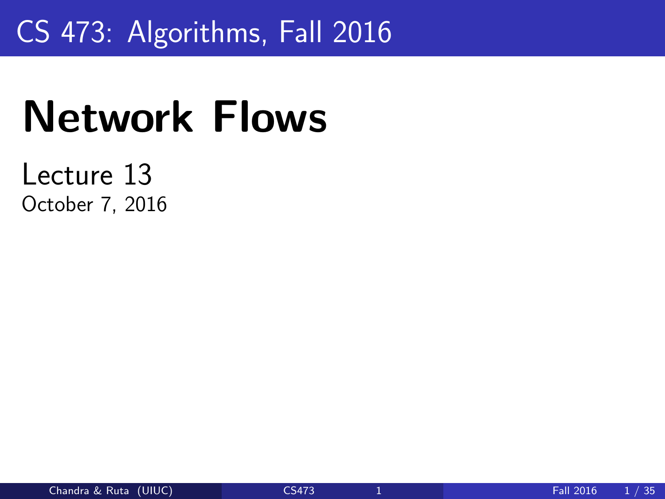# <span id="page-0-0"></span>CS 473: Algorithms, Fall 2016

# Network Flows

### Lecture 13 October 7, 2016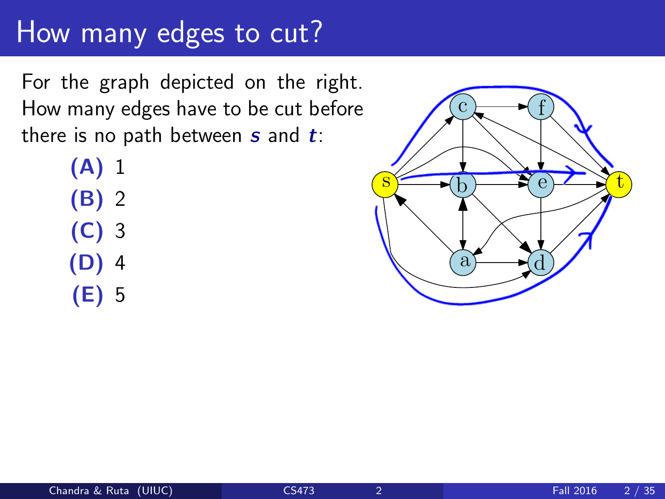### How many edges to cut?

For the graph depicted on the right. How many edges have to be cut before there is no path between  $s$  and  $t$ :

> (A) 1 (B) 2 (C) 3 (D) 4 (E) 5

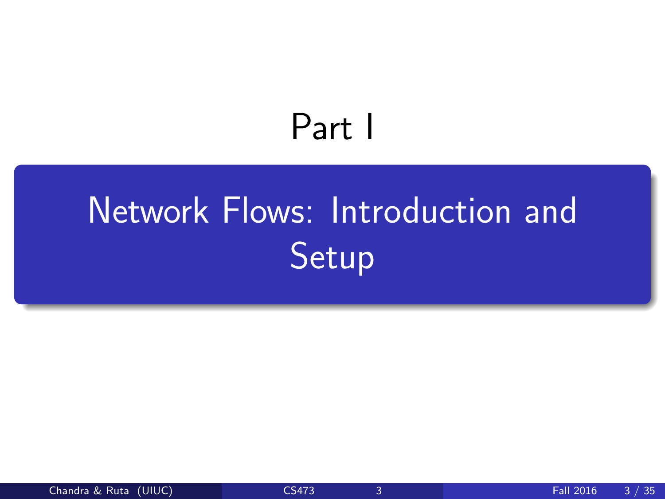# Part I

# <span id="page-2-0"></span>[Network Flows: Introduction and](#page-2-0) [Setup](#page-2-0)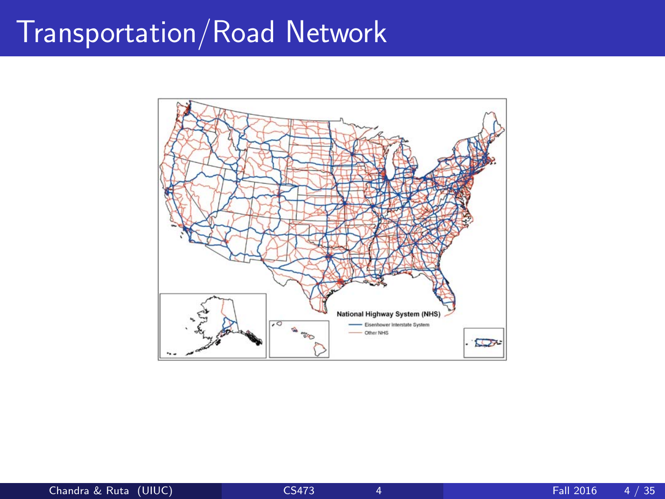# Transportation/Road Network

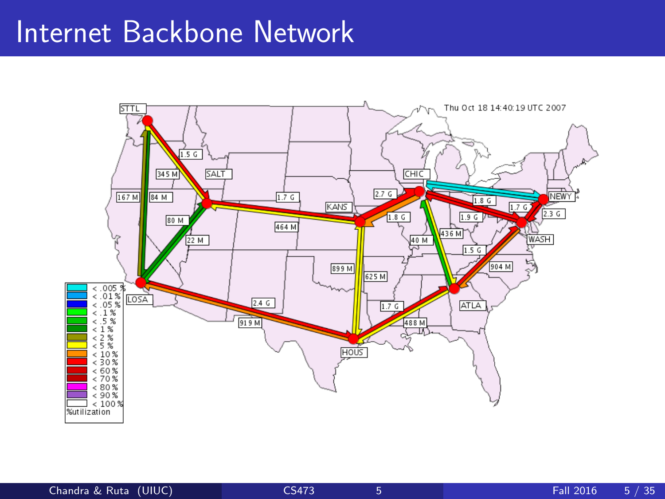### Internet Backbone Network

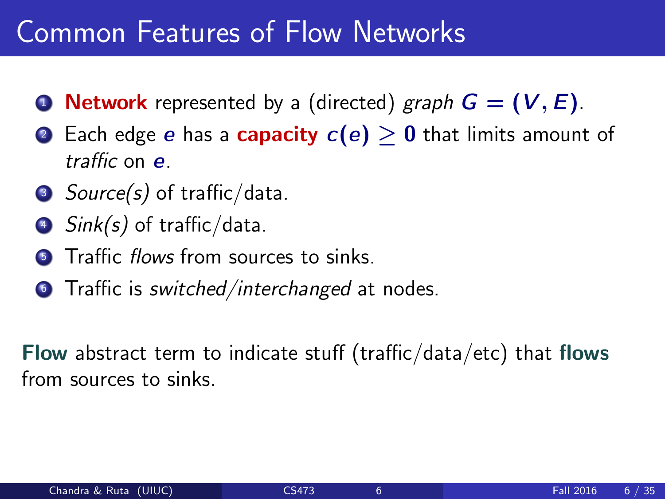### Common Features of Flow Networks

- **1 Network** represented by a (directed) graph  $G = (V, E)$ .
- 2 Each edge e has a **capacity**  $c(e) > 0$  that limits amount of traffic on e.
- $\bullet$  Source(s) of traffic/data.
- $\bullet$  Sink(s) of traffic/data.
- **5** Traffic flows from sources to sinks.
- **Traffic is switched/interchanged at nodes.**

Flow abstract term to indicate stuff (traffic/data/etc) that flows from sources to sinks.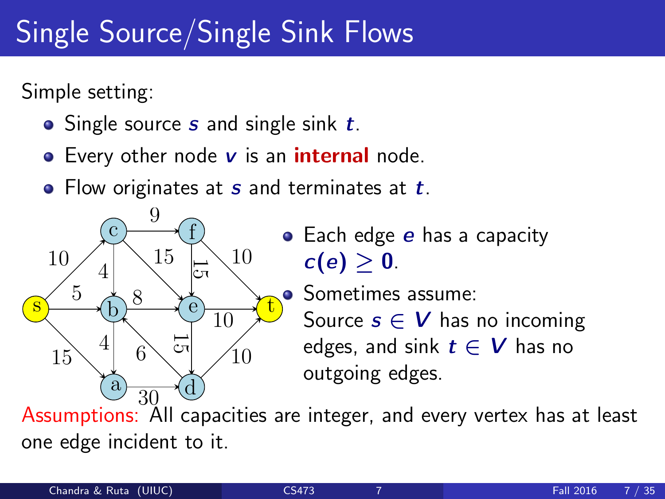# Single Source/Single Sink Flows

Simple setting:

- $\bullet$  Single source s and single sink  $t$ .
- $\bullet$  Every other node  $\vee$  is an internal node.
- $\bullet$  Flow originates at s and terminates at t.



• Each edge e has a capacity  $c(e) > 0$ .

• Sometimes assume: Source  $s \in V$  has no incoming edges, and sink  $t \in V$  has no outgoing edges.

Assumptions: All capacities are integer, and every vertex has at least one edge incident to it.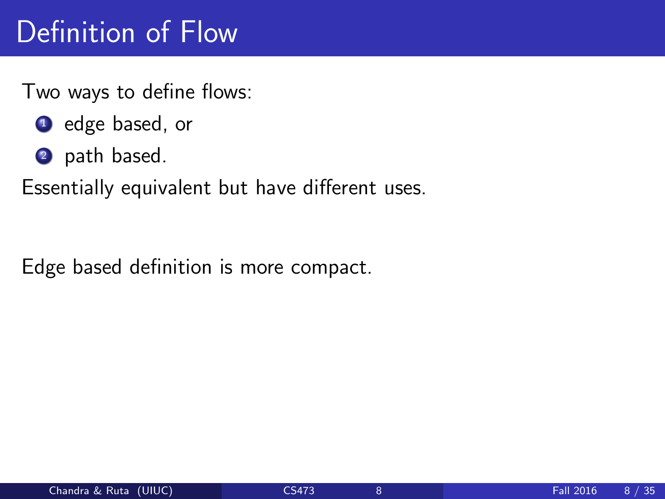# Definition of Flow

Two ways to define flows:

- **1** edge based, or
- 2 path based.

Essentially equivalent but have different uses.

Edge based definition is more compact.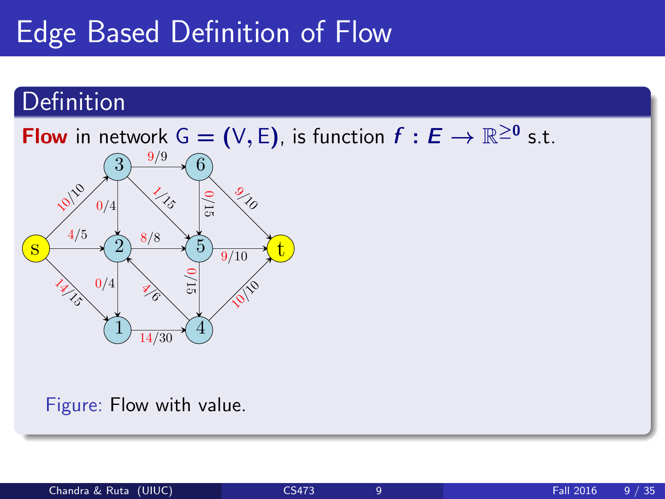#### **Definition**



Figure: Flow with value.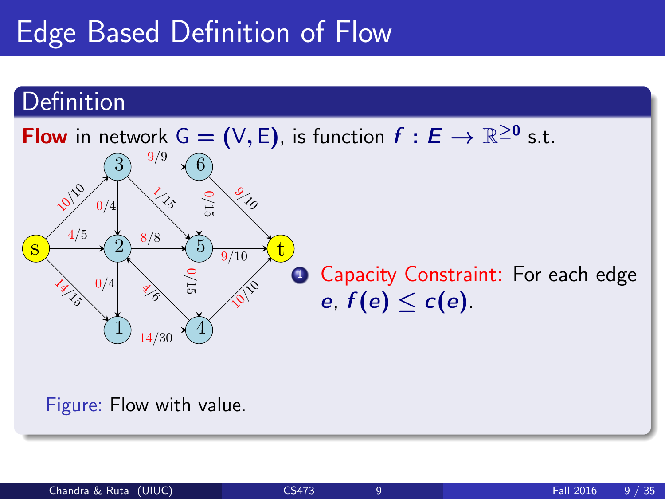#### **Definition**



Figure: Flow with value.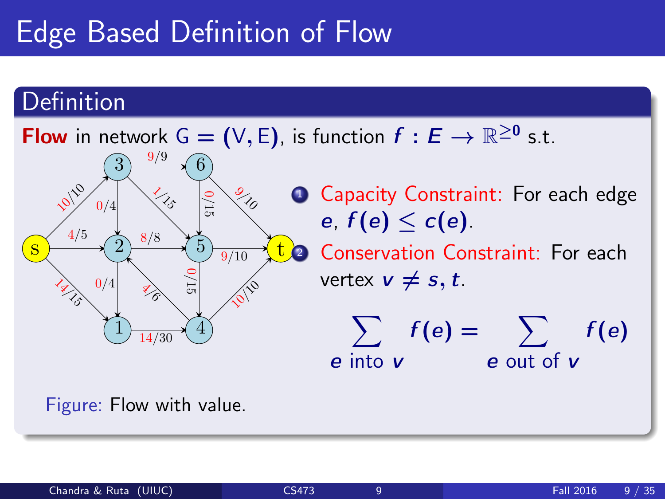#### Definition



Figure: Flow with value.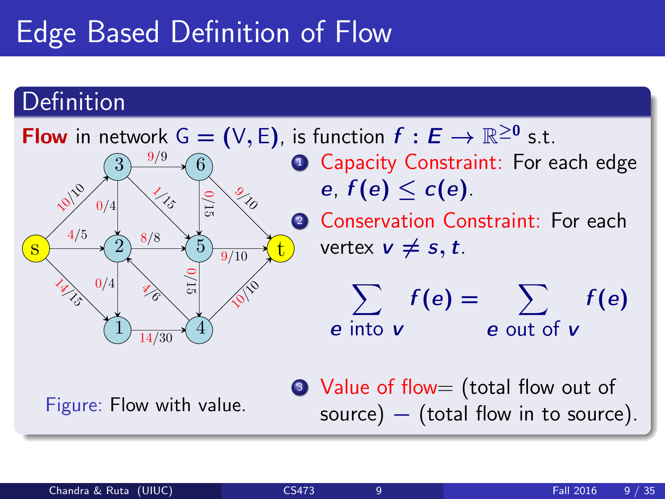#### **Definition**

**Flow** in network  $G = (V, E)$ , is function  $f : E \to \mathbb{R}^{\geq 0}$  s.t. 14 M S 4/5 10  $14/30$ 8/8  $0/4$ 9/9  $0/4$  $\left\langle \right\rangle _{\mathcal{S}}$  $\overrightarrow{z_{\delta}}$ 10 9/10 0/15 0/15  $\frac{9}{10}$ s 1 2 3 4 5 6 t **1 Capacity Constraint: For each edge** e,  $f(e) < c(e)$ . 2 Conservation Constraint: For each vertex  $v \neq s, t$ .  $\sum f(e) = \sum$ e into **v** e out of **v**  $f(e)$ 

Figure: Flow with value.

• Value of flow= (total flow out of source)  $-$  (total flow in to source).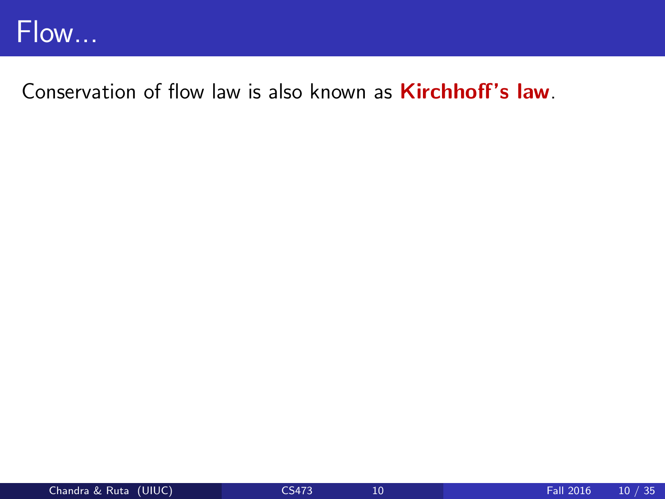

Conservation of flow law is also known as **Kirchhoff's law**.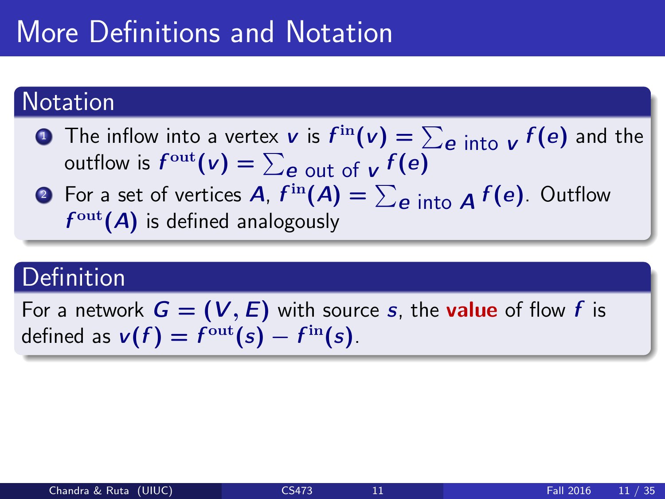# More Definitions and Notation

#### **Notation**

- **1** The inflow into a vertex **v** is  $f^{\text{in}}(v) = \sum_{e \text{ into } v} f(e)$  and the outflow is  $f^{\text{out}}(\mathsf{v}) = \sum_{\mathsf{e} \text{ out of } \mathsf{v}} f(\mathsf{e})$ 
	- **3** For a set of vertices  $A$ ,  $f^{\text{in}}(A) = \sum_{e \text{ into }} A f(e)$ . Outflow  $f^{\text{out}}(A)$  is defined analogously

### **Definition**

For a network  $G = (V, E)$  with source s, the **value** of flow f is defined as  $v(f) = f^{\text{out}}(s) - f^{\text{in}}(s)$ .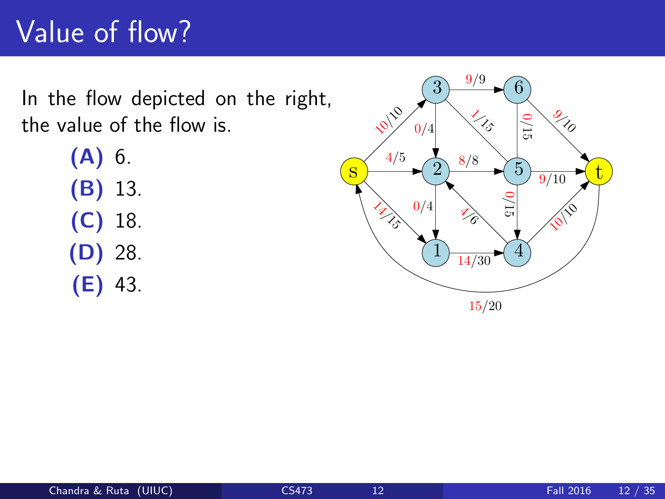# Value of flow?

In the flow depicted on the right, the value of the flow is.

> (A) 6. (B) 13. (C) 18. (D) 28. (E) 43.

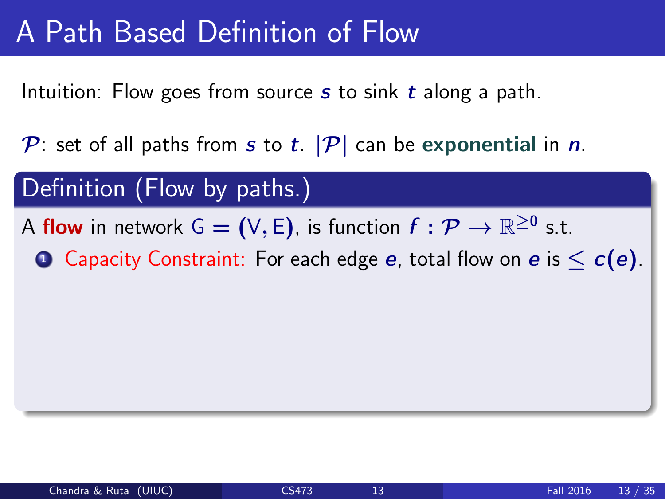Intuition: Flow goes from source  $s$  to sink  $t$  along a path.

P: set of all paths from s to t.  $|\mathcal{P}|$  can be exponential in n.

#### Definition (Flow by paths.)

- A flow in network G = (V, E), is function  $f: \mathcal{P} \to \mathbb{R}^{\geq 0}$  s.t.
	- **1** Capacity Constraint: For each edge e, total flow on e is  $\leq c(e)$ .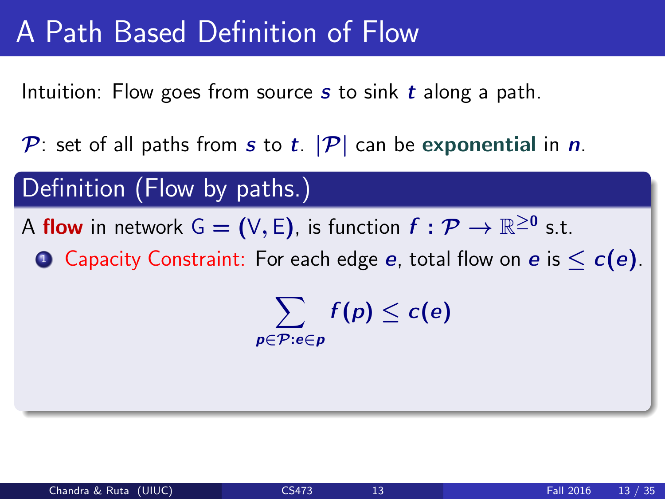Intuition: Flow goes from source  $s$  to sink  $t$  along a path.

P: set of all paths from s to t.  $|\mathcal{P}|$  can be exponential in n.

#### Definition (Flow by paths.)

- A flow in network G = (V, E), is function  $f: \mathcal{P} \to \mathbb{R}^{\geq 0}$  s.t.
	- **1** Capacity Constraint: For each edge e, total flow on e is  $\leq c(e)$ .

 $\sum f(p) \leq c(e)$ p∈P:e∈p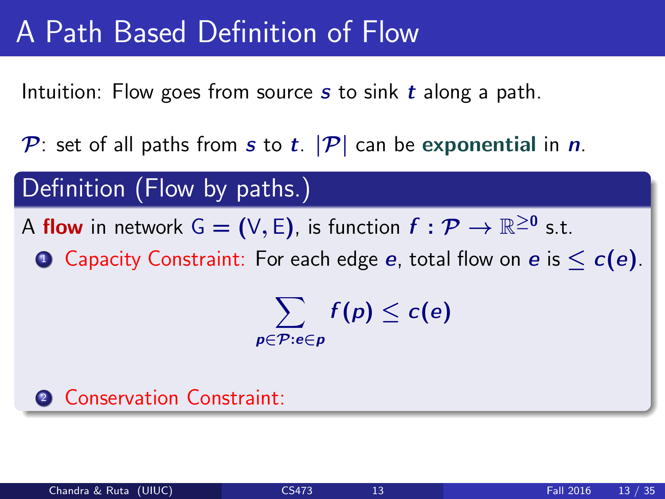Intuition: Flow goes from source  $s$  to sink  $t$  along a path.

P: set of all paths from s to t.  $|\mathcal{P}|$  can be exponential in n.

#### Definition (Flow by paths.)

- A flow in network G = (V, E), is function  $f: \mathcal{P} \to \mathbb{R}^{\geq 0}$  s.t.
	- **1** Capacity Constraint: For each edge e, total flow on e is  $\leq c(e)$ .

 $\sum f(p) \leq c(e)$ p∈P:e∈p

#### **2 Conservation Constraint:**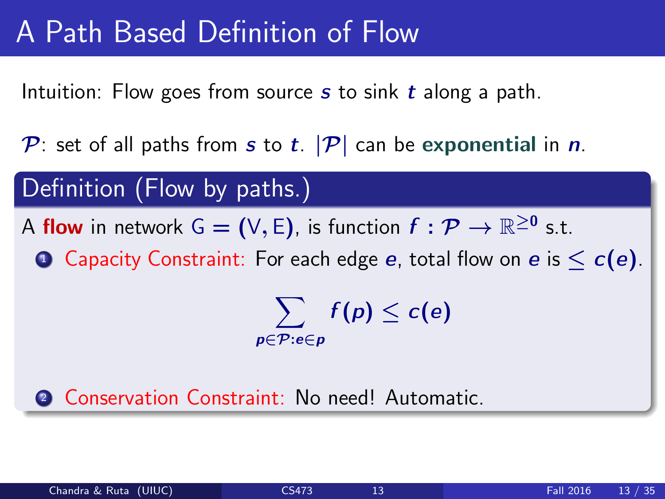Intuition: Flow goes from source  $s$  to sink  $t$  along a path.

P: set of all paths from s to t.  $|\mathcal{P}|$  can be exponential in n.

#### Definition (Flow by paths.)

- A flow in network G = (V, E), is function  $f: \mathcal{P} \to \mathbb{R}^{\geq 0}$  s.t.
	- **1** Capacity Constraint: For each edge e, total flow on e is  $\leq c(e)$ .

 $\sum f(p) \leq c(e)$ p∈P:e∈p

2 Conservation Constraint: No need! Automatic.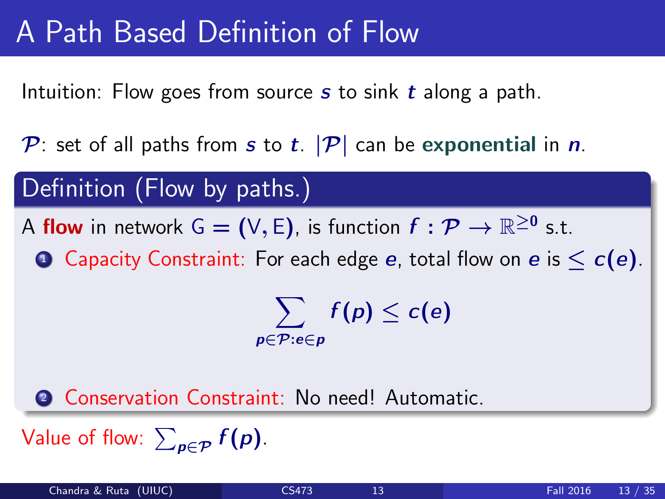Intuition: Flow goes from source  $s$  to sink  $t$  along a path.

P: set of all paths from s to t.  $|\mathcal{P}|$  can be exponential in n.

#### Definition (Flow by paths.)

- A flow in network G = (V, E), is function  $f: \mathcal{P} \to \mathbb{R}^{\geq 0}$  s.t.
	- **1** Capacity Constraint: For each edge e, total flow on e is  $\leq c(e)$ .

 $\sum f(p) \leq c(e)$ p∈P:e∈p

2 Conservation Constraint: No need! Automatic.

Value of flow:  $\sum_{\bm{p}\in\mathcal{P}}f(\bm{p})$ .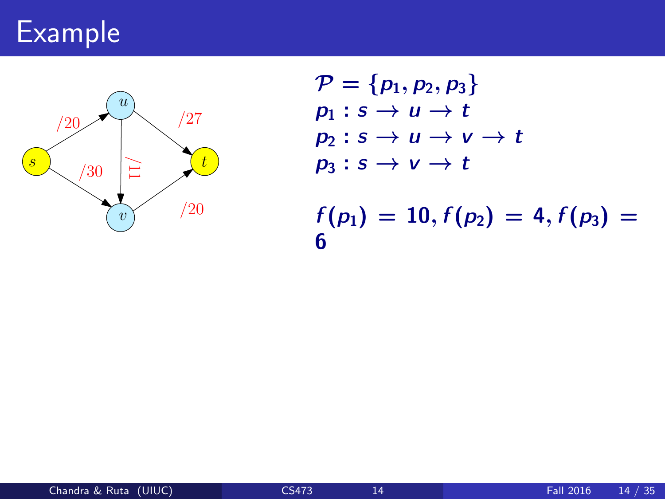# Example



$$
\mathcal{P} = \{p_1, p_2, p_3\} \n p_1 : s \to u \to t \n p_2 : s \to u \to v \to t \n p_3 : s \to v \to t \n f(p_1) = 10, f(p_2) = 4, f(p_3) = 6
$$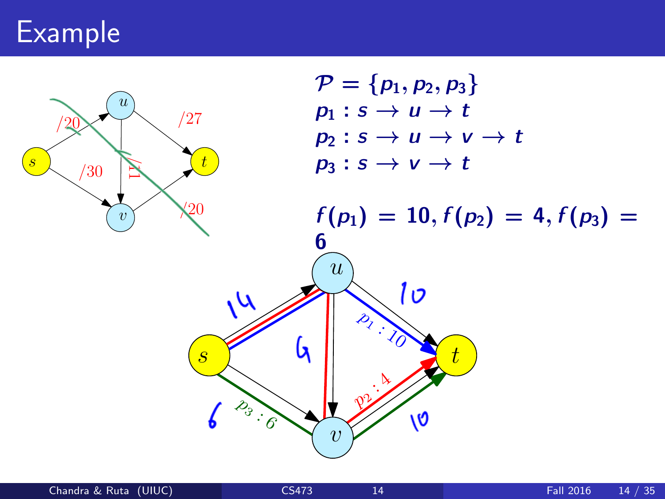# Example

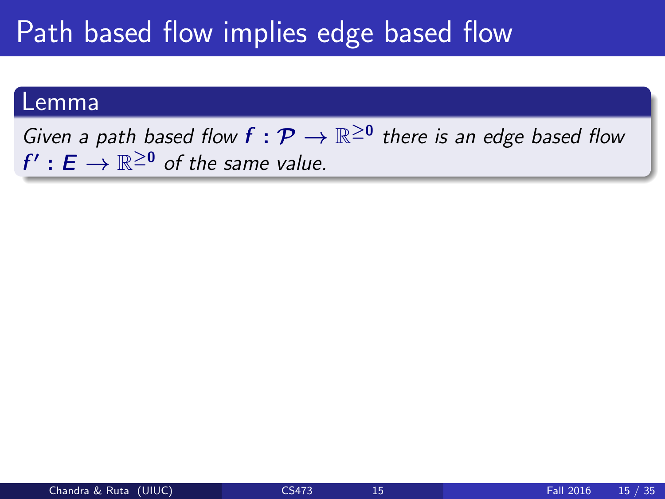# Path based flow implies edge based flow

#### Lemma

Given a path based flow  $f: \mathcal{P} \to \mathbb{R}^{\geq 0}$  there is an edge based flow  $f': E \to \mathbb{R}^{\geq 0}$  of the same value.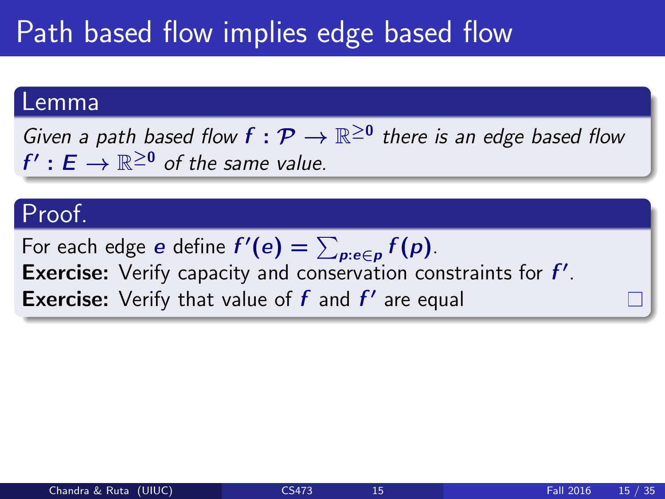# Path based flow implies edge based flow

#### Lemma

Given a path based flow  $f: \mathcal{P} \to \mathbb{R}^{\geq 0}$  there is an edge based flow  $f': E \to \mathbb{R}^{\geq 0}$  of the same value.

#### Proof.

For each edge  $e$  define  $f'(e) = \sum_{p: e \in p} f(p)$ . Exercise: Verify capacity and conservation constraints for  $f'$ . **Exercise:** Verify that value of  $f$  and  $f'$  are equal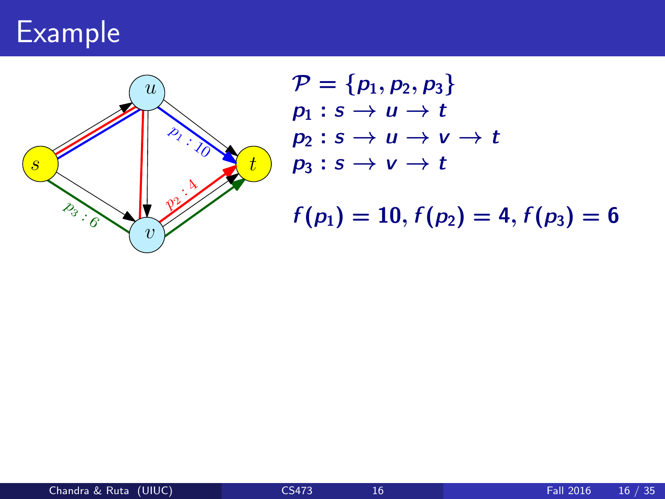# Example



$$
\mathcal{P} = \{p_1, p_2, p_3\}
$$
  
\n
$$
p_1 : s \to u \to t
$$
  
\n
$$
p_2 : s \to u \to v \to t
$$
  
\n
$$
p_3 : s \to v \to t
$$

 $f(p_1) = 10, f(p_2) = 4, f(p_3) = 6$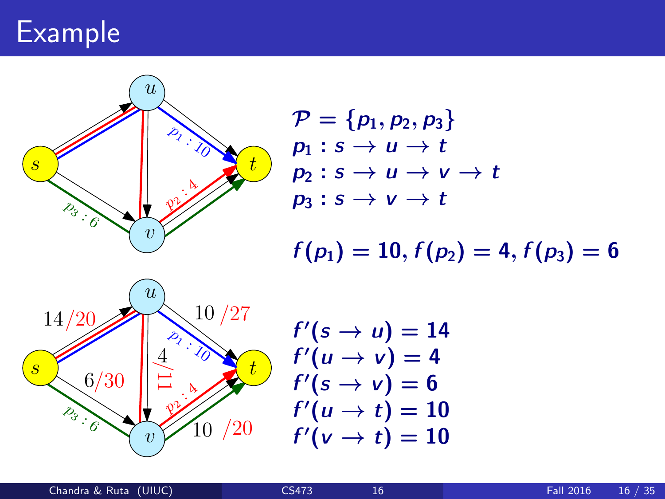# Example



$$
\mathcal{P} = \{p_1, p_2, p_3\}
$$
  
\n
$$
p_1 : s \to u \to t
$$
  
\n
$$
p_2 : s \to u \to v \to t
$$
  
\n
$$
p_3 : s \to v \to t
$$

 $f(p_1) = 10, f(p_2) = 4, f(p_3) = 6$ 



$$
f'(s \rightarrow u) = 14
$$
  
\n
$$
f'(u \rightarrow v) = 4
$$
  
\n
$$
f'(s \rightarrow v) = 6
$$
  
\n
$$
f'(u \rightarrow t) = 10
$$
  
\n
$$
f'(v \rightarrow t) = 10
$$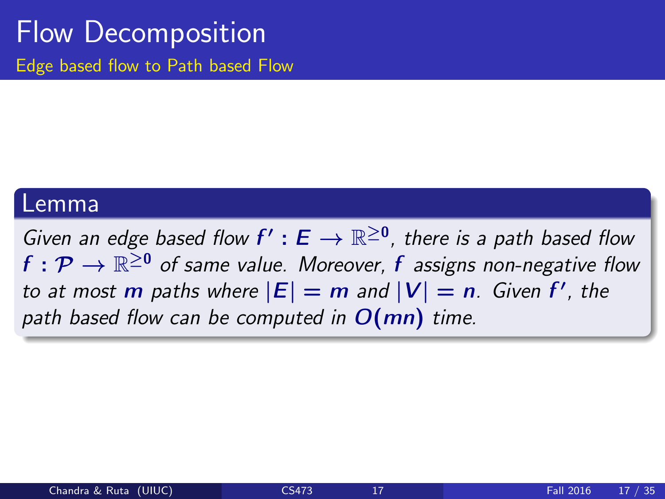### Flow Decomposition Edge based flow to Path based Flow

#### Lemma

Given an edge based flow  $f': E \to \mathbb{R}^{\geq 0}$ , there is a path based flow  $f: \mathcal{P} \rightarrow \mathbb{R}^{\geq 0}$  of same value. Moreover,  $f$  assigns non-negative flow to at most m paths where  $|E| = m$  and  $|V| = n$ . Given f', the path based flow can be computed in  $O(mn)$  time.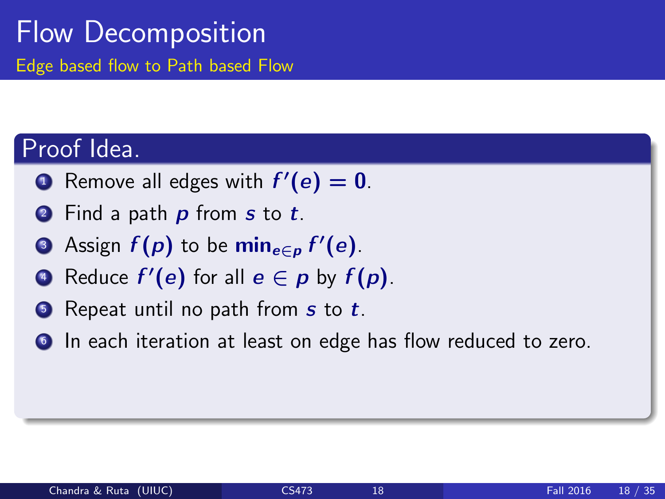### Flow Decomposition Edge based flow to Path based Flow

#### Proof Idea.

- **1** Remove all edges with  $f'(e) = 0$ .
- **2** Find a path **p** from **s** to **t**.
- **3** Assign  $f(p)$  to be  $\min_{e \in p} f'(e)$ .
- **•** Reduce  $f'(e)$  for all  $e \in p$  by  $f(p)$ .
- $\bullet$  Repeat until no path from s to t.
- **In each iteration at least on edge has flow reduced to zero.**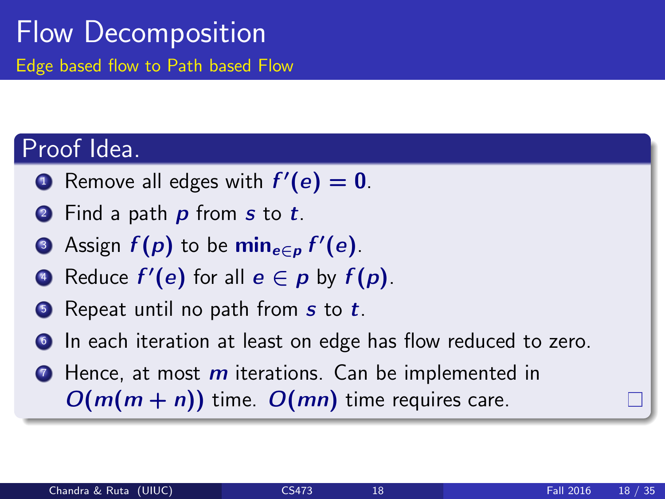### Flow Decomposition Edge based flow to Path based Flow

#### Proof Idea.

- **1** Remove all edges with  $f'(e) = 0$ .
- **2** Find a path **p** from **s** to **t**.
- **3** Assign  $f(p)$  to be  $\min_{e \in p} f'(e)$ .
- **•** Reduce  $f'(e)$  for all  $e \in p$  by  $f(p)$ .
- $\bullet$  Repeat until no path from s to t.
- In each iteration at least on edge has flow reduced to zero.
- $\bullet$  Hence, at most  $m$  iterations. Can be implemented in  $O(m(m + n))$  time.  $O(mn)$  time requires care.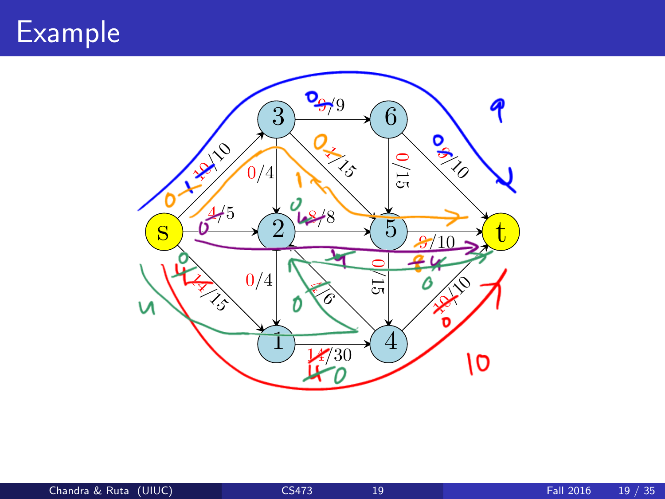### Example

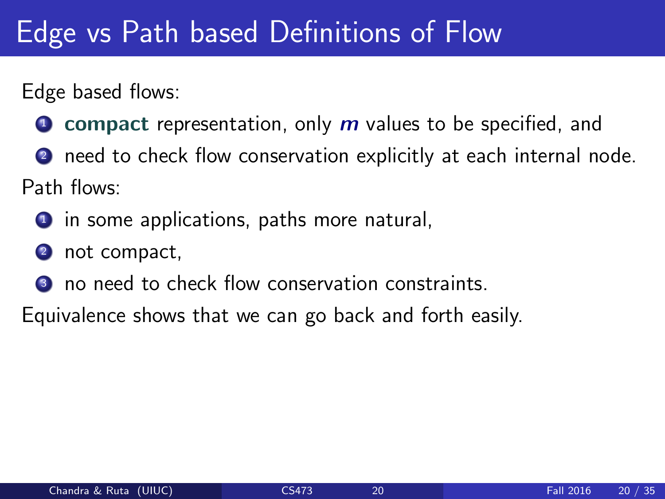# Edge vs Path based Definitions of Flow

Edge based flows:

- **O** compact representation, only  $m$  values to be specified, and
- **2** need to check flow conservation explicitly at each internal node.

Path flows:

- **1** in some applications, paths more natural,
- <sup>2</sup> not compact,
- <sup>3</sup> no need to check flow conservation constraints.

Equivalence shows that we can go back and forth easily.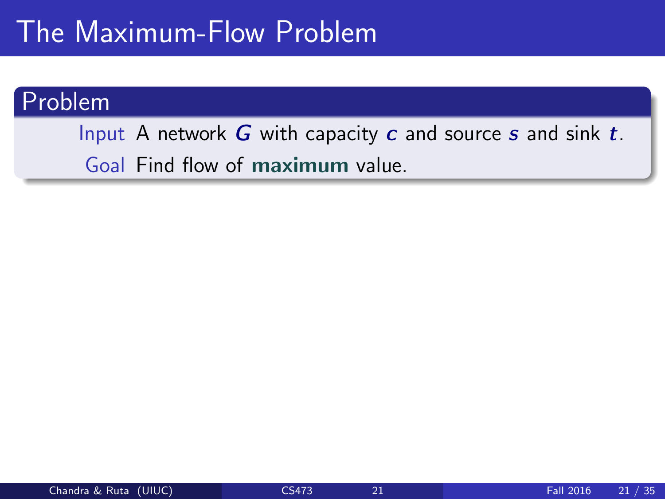### The Maximum-Flow Problem

#### Problem

Input A network  $G$  with capacity  $c$  and source  $s$  and sink  $t$ . Goal Find flow of maximum value.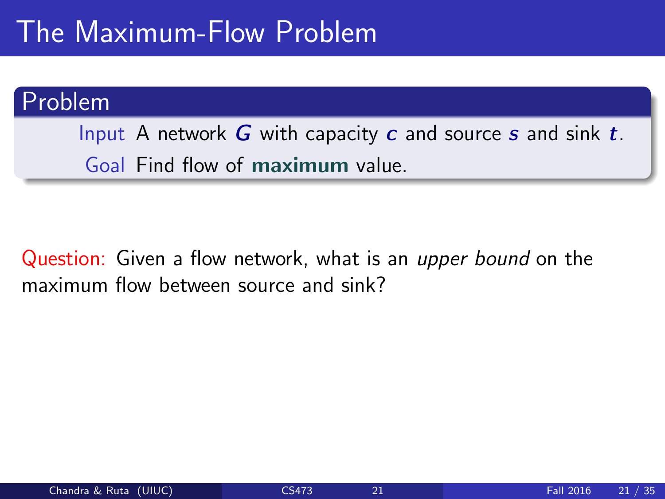### The Maximum-Flow Problem

#### Problem

Input A network  $G$  with capacity  $c$  and source  $s$  and sink  $t$ . Goal Find flow of maximum value.

Question: Given a flow network, what is an *upper bound* on the maximum flow between source and sink?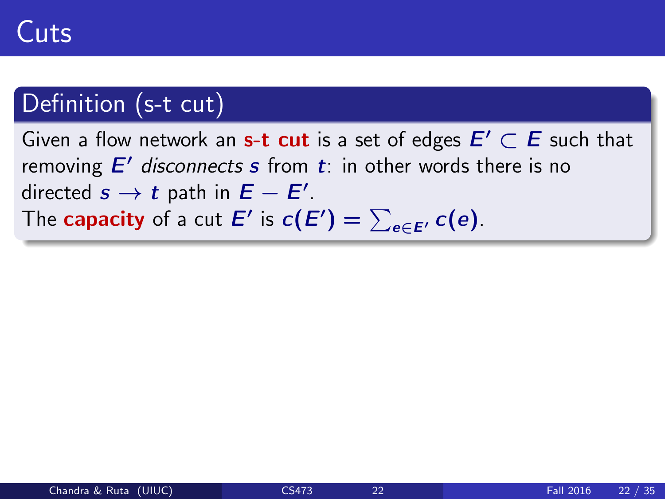### Definition (s-t cut)

Given a flow network an s-t cut is a set of edges  $E' \subset E$  such that removing  $E'$  disconnects s from  $t$ : in other words there is no directed  $s \to t$  path in  $E - E'$ . The capacity of a cut  $E'$  is  $c(E') = \sum_{e \in E'} c(e)$ .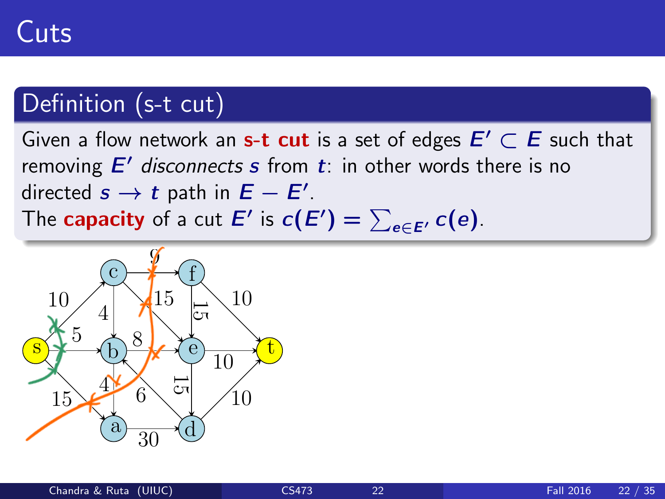### Definition (s-t cut)

Given a flow network an s-t cut is a set of edges  $E' \subset E$  such that removing  $E'$  disconnects s from  $t$ : in other words there is no directed  $s \to t$  path in  $E - E'$ . The capacity of a cut  $E'$  is  $c(E') = \sum_{e \in E'} c(e)$ .

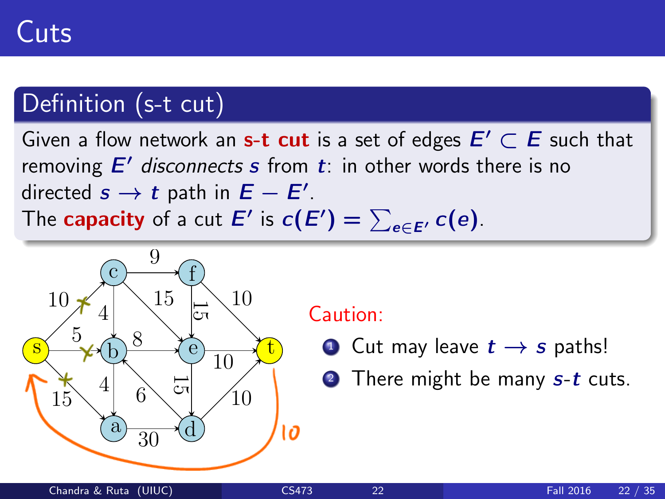### Definition (s-t cut)

Given a flow network an s-t cut is a set of edges  $E' \subset E$  such that removing  $E'$  disconnects s from  $t$ : in other words there is no directed  $s \to t$  path in  $E - E'$ . The capacity of a cut  $E'$  is  $c(E') = \sum_{e \in E'} c(e)$ .



#### Caution:

- **1** Cut may leave  $t \rightarrow s$  paths!
- **2** There might be many  $s-t$  cuts.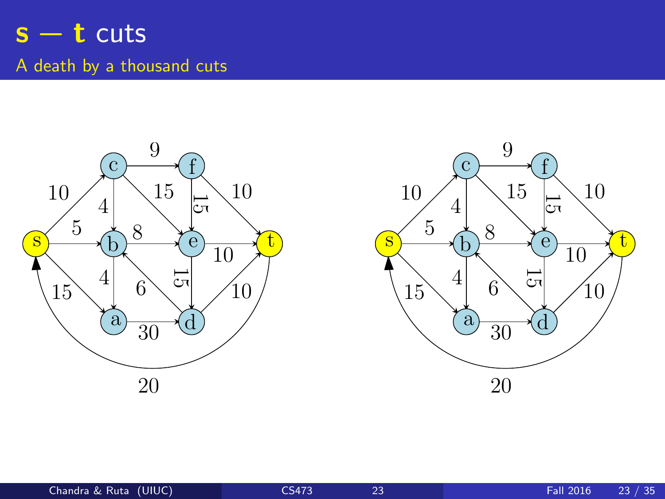### $s - t$  cuts A death by a thousand cuts



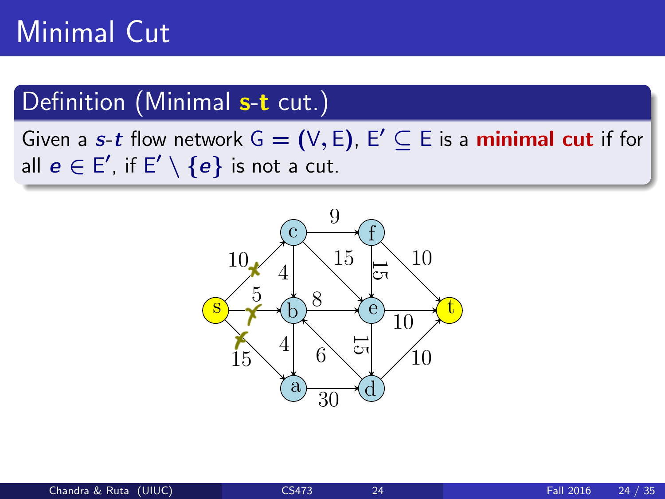# Minimal Cut

#### Definition (Minimal s-t cut.)

Given a s-t flow network  $G = (V, E)$ ,  $E' \subseteq E$  is a minimal cut if for all  $\boldsymbol{e}\in \mathsf{E}',$  if  $\mathsf{E}'\setminus \{\boldsymbol{e}\}$  is not a cut.

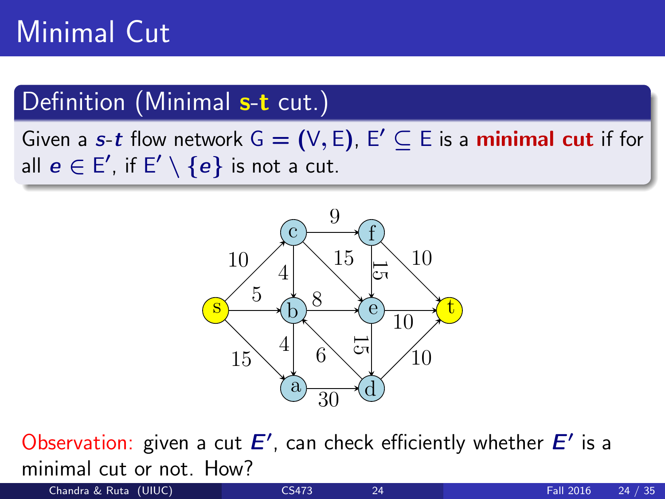# Minimal Cut

#### Definition (Minimal s-t cut.)

Given a s-t flow network  $G = (V, E)$ ,  $E' \subseteq E$  is a minimal cut if for all  $\boldsymbol{e}\in \mathsf{E}',$  if  $\mathsf{E}'\setminus \{\boldsymbol{e}\}$  is not a cut.



Observation: given a cut  $E'$ , can check efficiently whether  $E'$  is a minimal cut or not. How?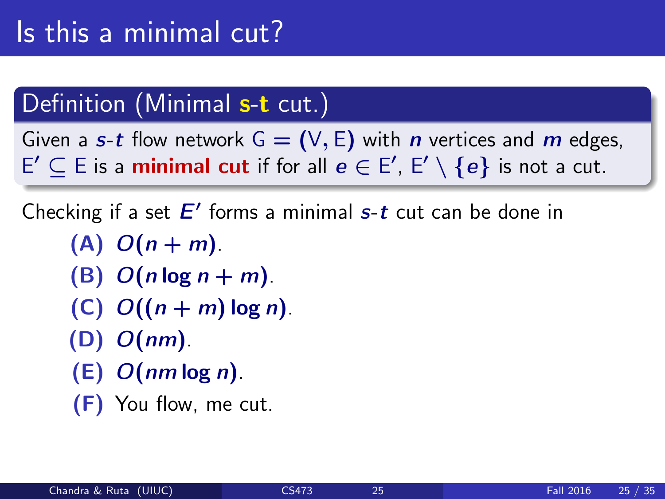### Definition (Minimal s-t cut.)

Given a s-t flow network  $G = (V, E)$  with *n* vertices and *m* edges,  $\mathsf{E}'\subseteq \mathsf{E}$  is a **minimal cut** if for all  $\mathsf{e}\in \mathsf{E}',\, \mathsf{E}'\setminus \{\mathsf{e}\}$  is not a cut.

Checking if a set  $E'$  forms a minimal  $s$ -t cut can be done in

- $(A)$   $O(n + m)$ .
- (B)  $O(n \log n + m)$ .
- (C)  $O((n+m) \log n)$ .
- $(D)$   $O(nm)$ .
- $(E)$   $O(nm \log n)$ .
- (F) You flow, me cut.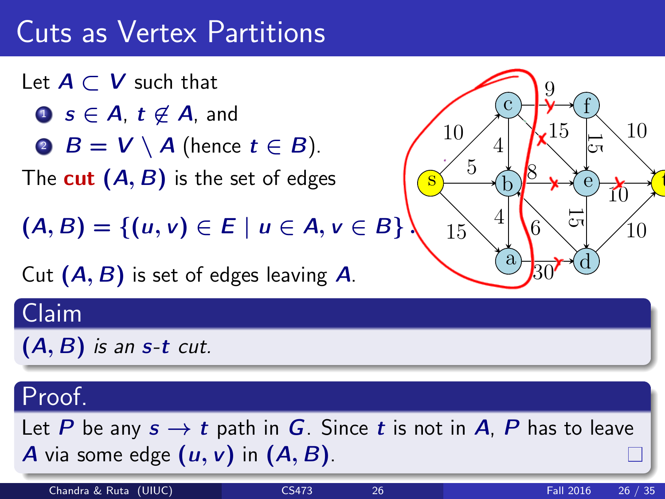Let  $A \subset V$  such that **1**  $s \in A$ ,  $t \notin A$ , and **2**  $B = V \setminus A$  (hence  $t \in B$ ). The cut  $(A, B)$  is the set of edges

 $(A, B) = \{(u, v) \in E \mid u \in A, v \in B\}$ 

Cut  $(A, B)$  is set of edges leaving  $A$ .



### Claim

 $(A, B)$  is an s-t cut.

### Proof.

Let P be any  $s \to t$  path in G. Since t is not in A, P has to leave A via some edge  $(u, v)$  in  $(A, B)$ .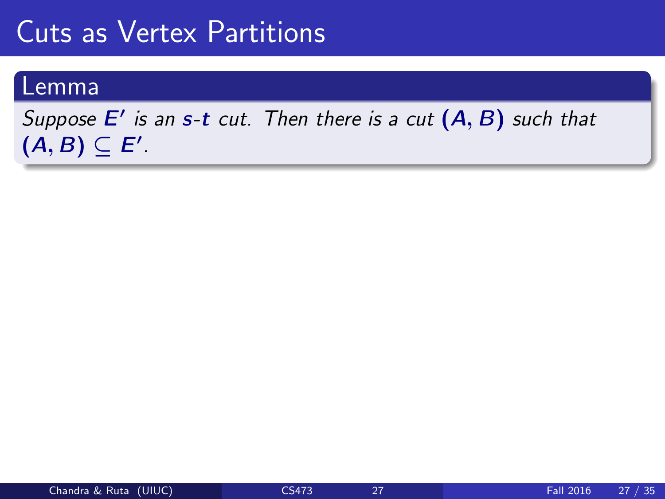#### Lemma

#### Suppose  $E'$  is an s-t cut. Then there is a cut  $(A, B)$  such that  $(A, B) \subseteq E'.$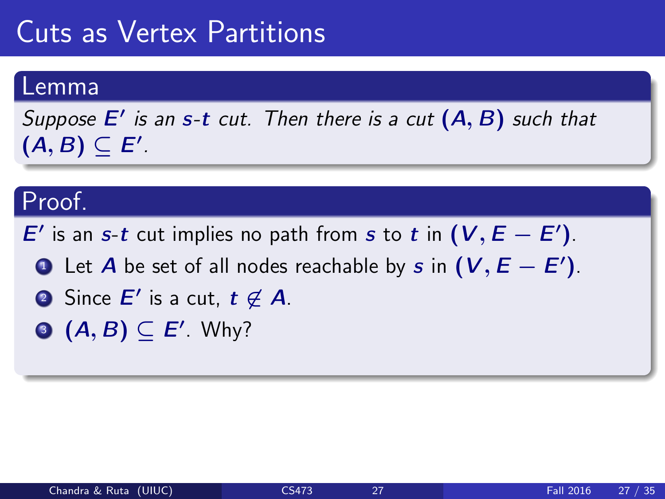#### Lemma

Suppose  $E'$  is an s-t cut. Then there is a cut  $(A, B)$  such that  $(A, B) \subseteq E'.$ 

#### Proof.

E' is an s-t cut implies no path from s to t in  $(V, E - E')$ .

- **1** Let  $A$  be set of all nodes reachable by  $s$  in  $(V, E E')$ .
- **2** Since  $E'$  is a cut,  $t \not\in A$ .
- $\mathbf{A}, \mathbf{B} \subseteq \mathbf{E}'$ . Why?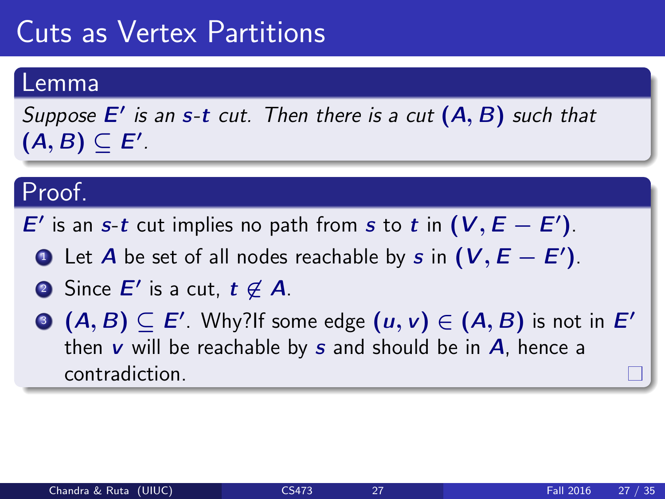#### Lemma

Suppose  $E'$  is an s-t cut. Then there is a cut  $(A, B)$  such that  $(A, B) \subseteq E'.$ 

#### Proof.

E' is an s-t cut implies no path from s to t in  $(V, E - E')$ .

- **1** Let  $A$  be set of all nodes reachable by  $s$  in  $(V, E E')$ .
- 2) Since  $E'$  is a cut,  $t \not\in A$ .
- $\mathbf{B}^{\top}\left( A,B\right) \subseteq E^{\prime}.$  Why?If some edge  $\left( u,v\right) \in\left( A,B\right)$  is not in  $E^{\prime}$ then  $v$  will be reachable by  $s$  and should be in  $A$ , hence a contradiction.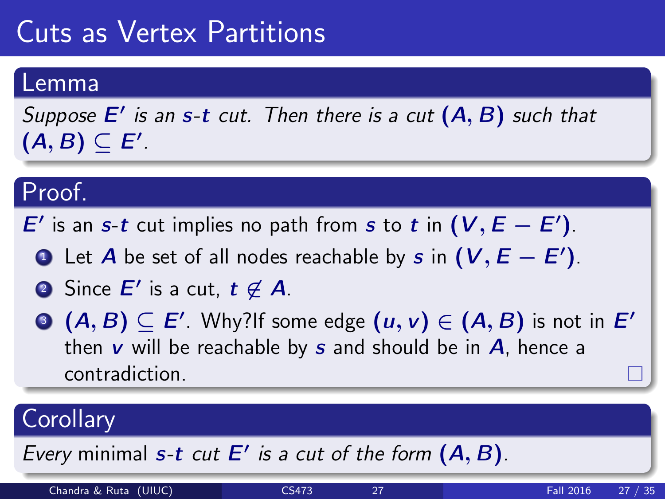#### Lemma

Suppose  $E'$  is an s-t cut. Then there is a cut  $(A, B)$  such that  $(A, B) \subseteq E'.$ 

#### Proof.

E' is an s-t cut implies no path from s to t in  $(V, E - E')$ .

- **1** Let  $A$  be set of all nodes reachable by  $s$  in  $(V, E E')$ .
- 2) Since  $E'$  is a cut,  $t \not\in A$ .
- $\mathbf{B}^{\top}\left( A,B\right) \subseteq E^{\prime}.$  Why?If some edge  $\left( u,v\right) \in\left( A,B\right)$  is not in  $E^{\prime}$ then  $v$  will be reachable by  $s$  and should be in  $A$ , hence a contradiction.

### **Corollary**

Every minimal  $s$ -t cut  $E'$  is a cut of the form  $(A, B)$ .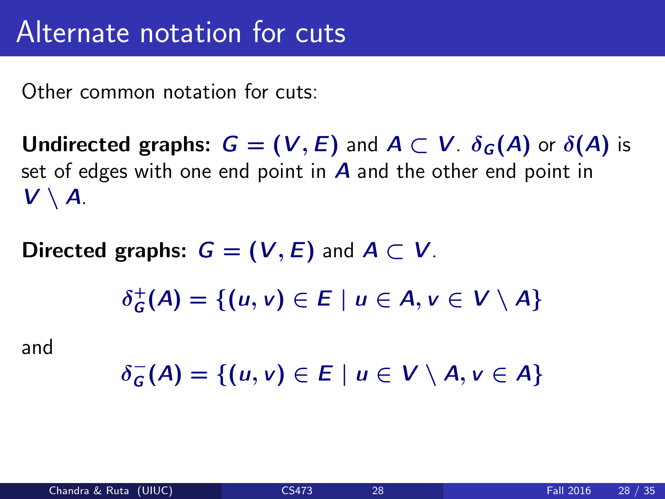Other common notation for cuts:

**Undirected graphs:**  $G = (V, E)$  and  $A \subset V$ .  $\delta_G(A)$  or  $\delta(A)$  is set of edges with one end point in  $\bm{A}$  and the other end point in  $V \setminus A$ .

Directed graphs:  $G = (V, E)$  and  $A \subset V$ .

$$
\delta_G^+(A) = \{(u,v) \in E \mid u \in A, v \in V \setminus A\}
$$

and

$$
\delta_G^-(A) = \{(u,v) \in E \mid u \in V \setminus A, v \in A\}
$$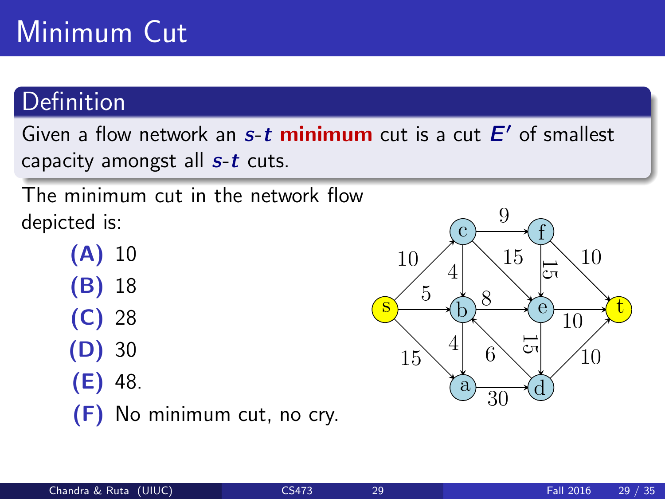# Minimum Cut

#### Definition

Given a flow network an s-t minimum cut is a cut E' of smallest capacity amongst all  $s-t$  cuts.

The minimum cut in the network flow depicted is:

- (A) 10 (B) 18 (C) 28
- (D) 30
- (E) 48.
- (F) No minimum cut, no cry.

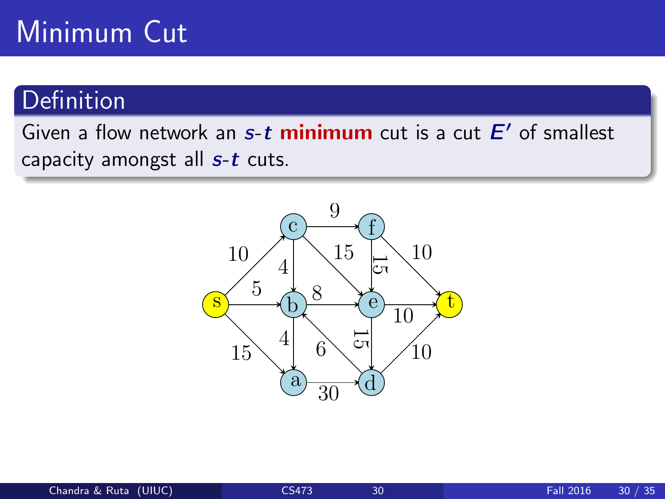# Minimum Cut

#### **Definition**

Given a flow network an s-t minimum cut is a cut E' of smallest capacity amongst all  $s-t$  cuts.

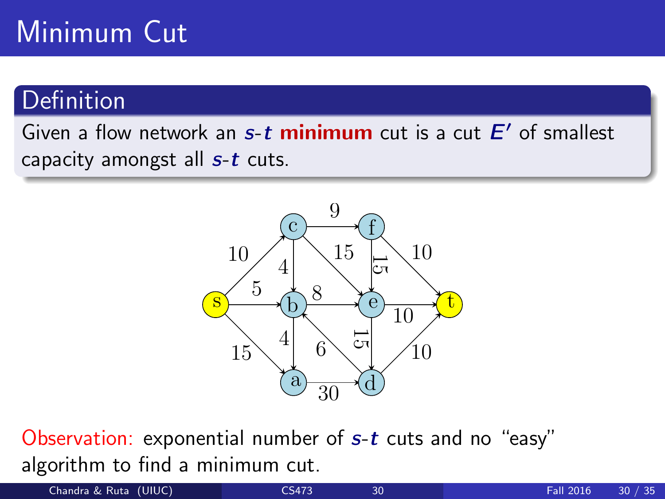# Minimum Cut

### Definition

Given a flow network an s-t minimum cut is a cut E' of smallest capacity amongst all  $s-t$  cuts.



Observation: exponential number of s-t cuts and no "easy" algorithm to find a minimum cut.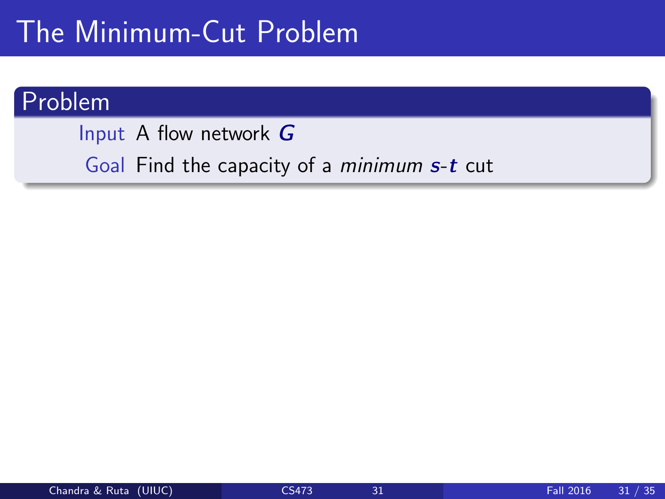# The Minimum-Cut Problem

#### Problem

Input A flow network G Goal Find the capacity of a minimum s-t cut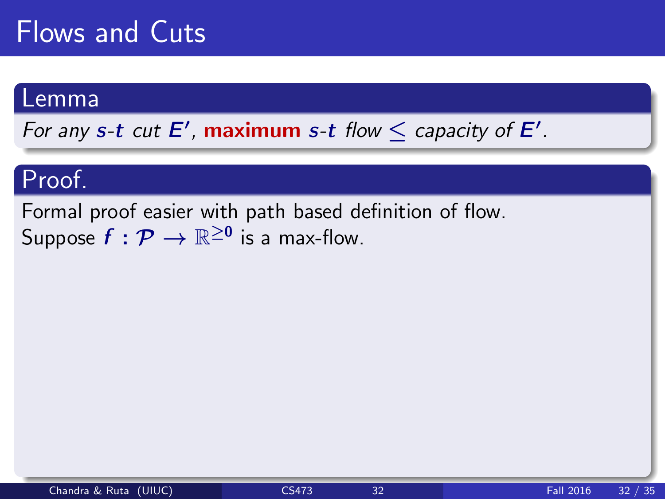#### Lemma

For any s-t cut  $E'$ , maximum s-t flow  $\leq$  capacity of  $E'$ .

#### Proof.

Formal proof easier with path based definition of flow. Suppose  $f:\mathcal{P}\rightarrow\mathbb{R}^{\ge0}$  is a max-flow.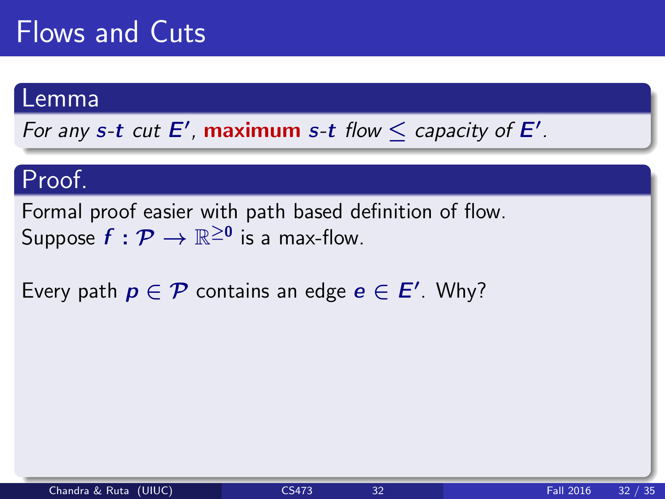#### Lemma

For any s-t cut  $E'$ , maximum s-t flow  $\leq$  capacity of  $E'$ .

#### Proof.

Formal proof easier with path based definition of flow. Suppose  $f:\mathcal{P}\rightarrow\mathbb{R}^{\ge0}$  is a max-flow.

Every path  $p \in \mathcal{P}$  contains an edge  $e \in E'$ . Why?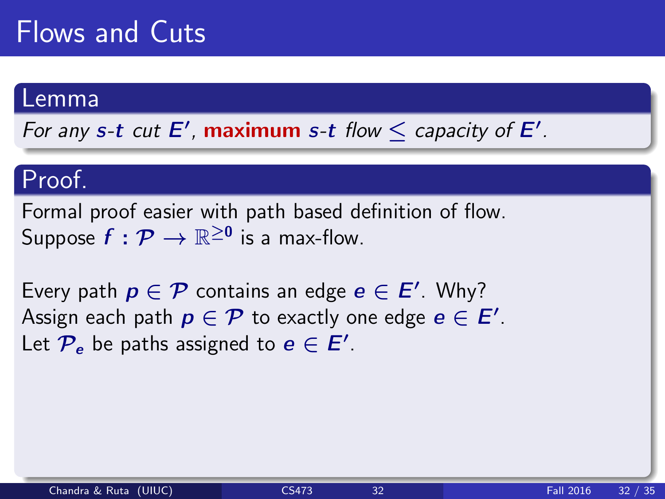#### Lemma

For any s-t cut  $E'$ , maximum s-t flow  $\leq$  capacity of  $E'$ .

#### Proof.

Formal proof easier with path based definition of flow. Suppose  $f:\mathcal{P}\rightarrow\mathbb{R}^{\ge0}$  is a max-flow.

Every path  $p \in \mathcal{P}$  contains an edge  $e \in E'$ . Why? Assign each path  $p \in \mathcal{P}$  to exactly one edge  $e \in \mathsf{E}'.$ Let  $\mathcal{P}_e$  be paths assigned to  $e \in E'$ .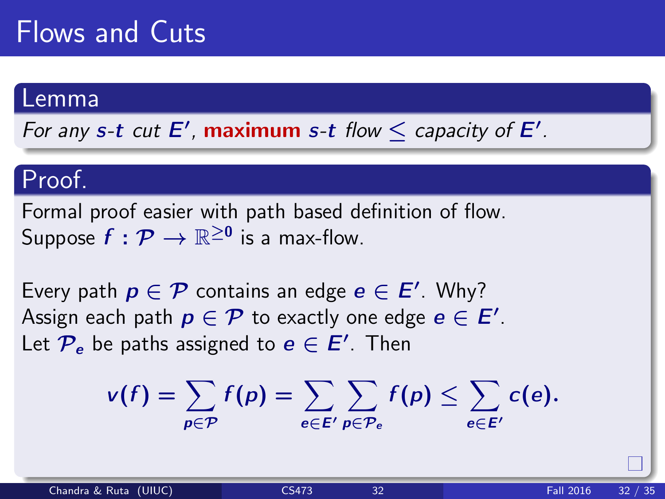#### Lemma

For any s-t cut  $E'$ , maximum s-t flow  $\leq$  capacity of  $E'$ .

#### Proof.

Formal proof easier with path based definition of flow. Suppose  $f:\mathcal{P}\rightarrow\mathbb{R}^{\ge0}$  is a max-flow.

Every path  $p \in \mathcal{P}$  contains an edge  $e \in E'$ . Why? Assign each path  $p \in \mathcal{P}$  to exactly one edge  $e \in \mathsf{E}'.$ Let  $\mathcal{P}_{e}$  be paths assigned to  $e \in E'.$  Then

$$
v(f) = \sum_{p \in \mathcal{P}} f(p) = \sum_{e \in E'} \sum_{p \in \mathcal{P}_e} f(p) \leq \sum_{e \in E'} c(e).
$$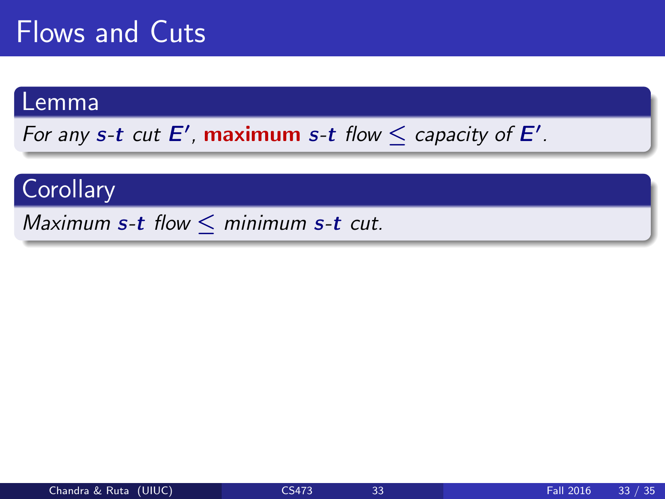#### Lemma

For any s-t cut  $E'$ , maximum s-t flow  $\leq$  capacity of  $E'$ .

#### **Corollary**

Maximum s-t flow  $\leq$  minimum s-t cut.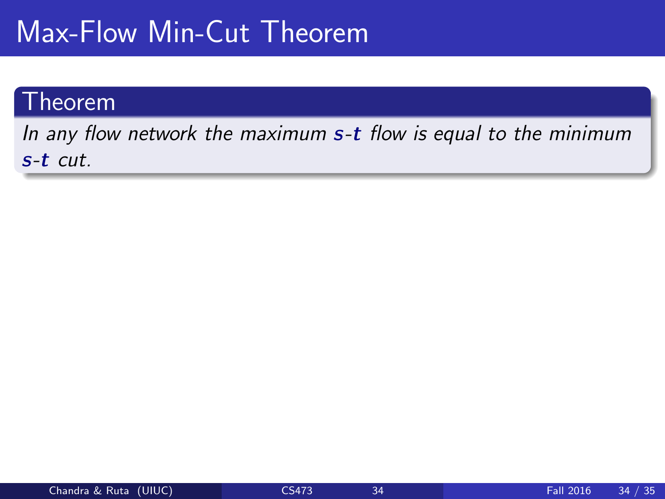# Max-Flow Min-Cut Theorem

#### Theorem

In any flow network the maximum  $s$ -t flow is equal to the minimum s-t cut.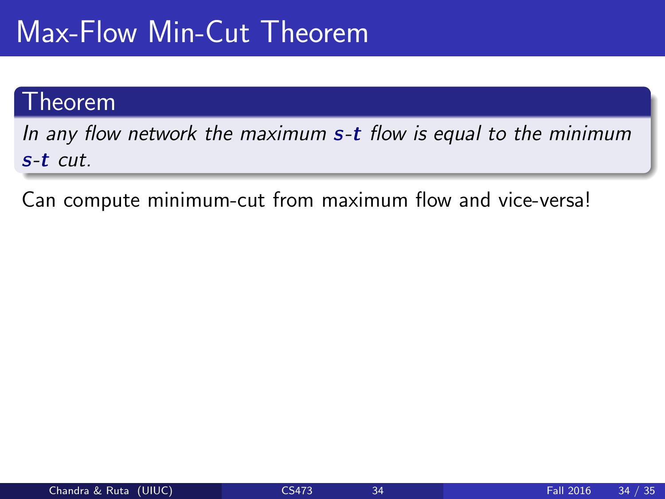# Max-Flow Min-Cut Theorem

#### Theorem

In any flow network the maximum s-t flow is equal to the minimum s-t cut.

Can compute minimum-cut from maximum flow and vice-versa!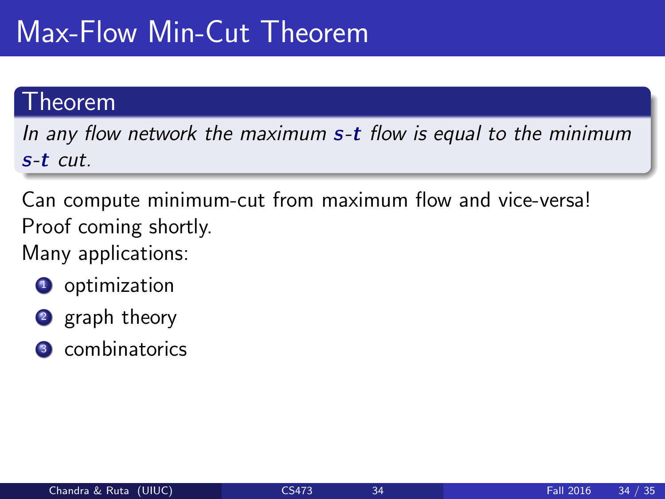# Max-Flow Min-Cut Theorem

#### Theorem

In any flow network the maximum s-t flow is equal to the minimum s-t cut.

Can compute minimum-cut from maximum flow and vice-versa! Proof coming shortly.

Many applications:

- **1** optimization
- 2 graph theory
- <sup>3</sup> combinatorics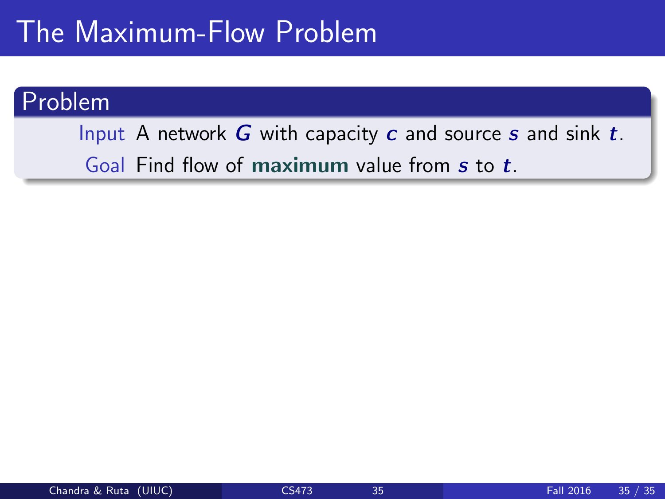### The Maximum-Flow Problem

#### Problem

Input A network  $G$  with capacity  $c$  and source  $s$  and sink  $t$ . Goal Find flow of maximum value from s to t.